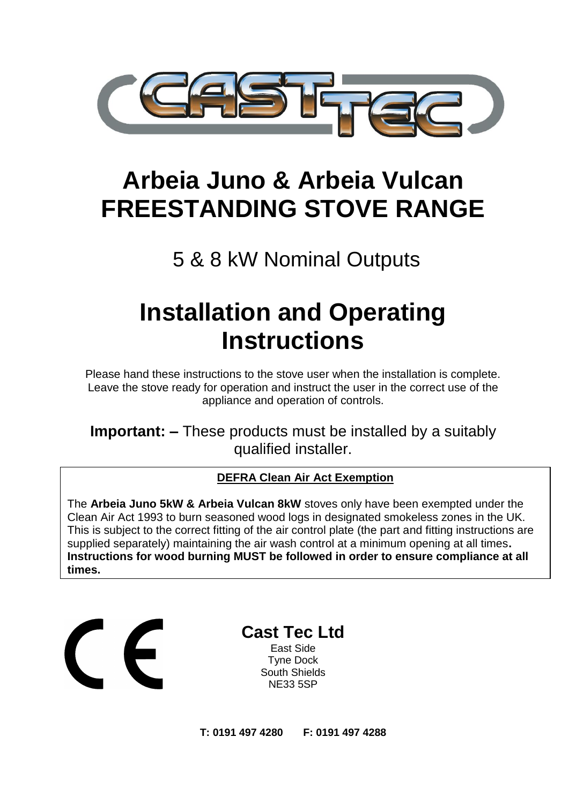

# **Arbeia Juno & Arbeia Vulcan FREESTANDING STOVE RANGE**

# 5 & 8 kW Nominal Outputs

# **Installation and Operating Instructions**

Please hand these instructions to the stove user when the installation is complete. Leave the stove ready for operation and instruct the user in the correct use of the appliance and operation of controls.

**Important: –** These products must be installed by a suitably qualified installer.

#### **DEFRA Clean Air Act Exemption**

The **Arbeia Juno 5kW & Arbeia Vulcan 8kW** stoves only have been exempted under the Clean Air Act 1993 to burn seasoned wood logs in designated smokeless zones in the UK. This is subject to the correct fitting of the air control plate (the part and fitting instructions are supplied separately) maintaining the air wash control at a minimum opening at all times**. Instructions for wood burning MUST be followed in order to ensure compliance at all times.**

**Cast Tec Ltd** East Side Tyne Dock South Shields NE33 5SP

**T: 0191 497 4280 F: 0191 497 4288**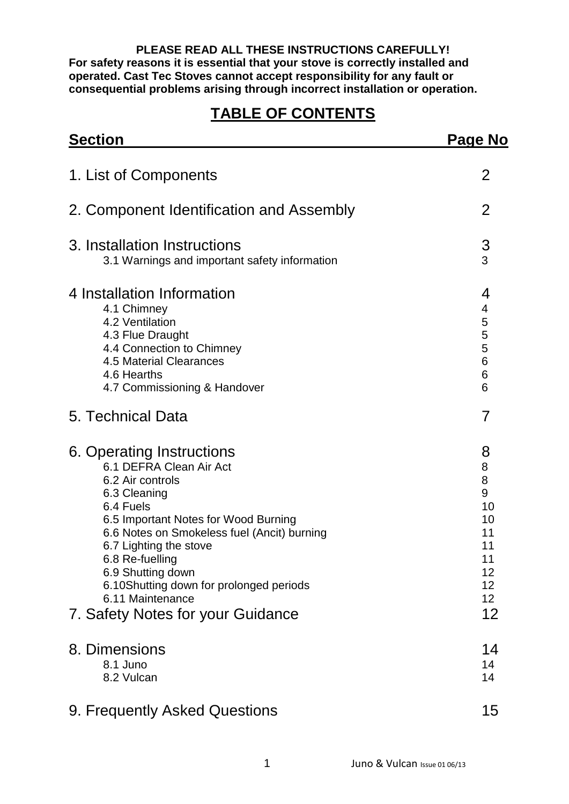**PLEASE READ ALL THESE INSTRUCTIONS CAREFULLY! For safety reasons it is essential that your stove is correctly installed and operated. Cast Tec Stoves cannot accept responsibility for any fault or consequential problems arising through incorrect installation or operation.**

### **TABLE OF CONTENTS**

| <b>Section</b>                                                                                                                                                                                                                                                                                                                                                     | <b>Page No</b>                                                         |  |
|--------------------------------------------------------------------------------------------------------------------------------------------------------------------------------------------------------------------------------------------------------------------------------------------------------------------------------------------------------------------|------------------------------------------------------------------------|--|
| 1. List of Components                                                                                                                                                                                                                                                                                                                                              | 2                                                                      |  |
| 2. Component Identification and Assembly                                                                                                                                                                                                                                                                                                                           | 2                                                                      |  |
| 3. Installation Instructions<br>3.1 Warnings and important safety information                                                                                                                                                                                                                                                                                      | 3<br>3                                                                 |  |
| 4 Installation Information<br>4.1 Chimney<br>4.2 Ventilation<br>4.3 Flue Draught<br>4.4 Connection to Chimney<br>4.5 Material Clearances<br>4.6 Hearths<br>4.7 Commissioning & Handover                                                                                                                                                                            | 4<br>4<br>5<br>5<br>5<br>6<br>6<br>6                                   |  |
| 5. Technical Data                                                                                                                                                                                                                                                                                                                                                  | 7                                                                      |  |
| 6. Operating Instructions<br>6.1 DEFRA Clean Air Act<br>6.2 Air controls<br>6.3 Cleaning<br>6.4 Fuels<br>6.5 Important Notes for Wood Burning<br>6.6 Notes on Smokeless fuel (Ancit) burning<br>6.7 Lighting the stove<br>6.8 Re-fuelling<br>6.9 Shutting down<br>6.10Shutting down for prolonged periods<br>6.11 Maintenance<br>7. Safety Notes for your Guidance | 8<br>8<br>8<br>9<br>10<br>10<br>11<br>11<br>11<br>12<br>12<br>12<br>12 |  |
| 8. Dimensions<br>8.1 Juno<br>8.2 Vulcan                                                                                                                                                                                                                                                                                                                            | 14<br>14<br>14                                                         |  |
| 9. Frequently Asked Questions                                                                                                                                                                                                                                                                                                                                      | 15                                                                     |  |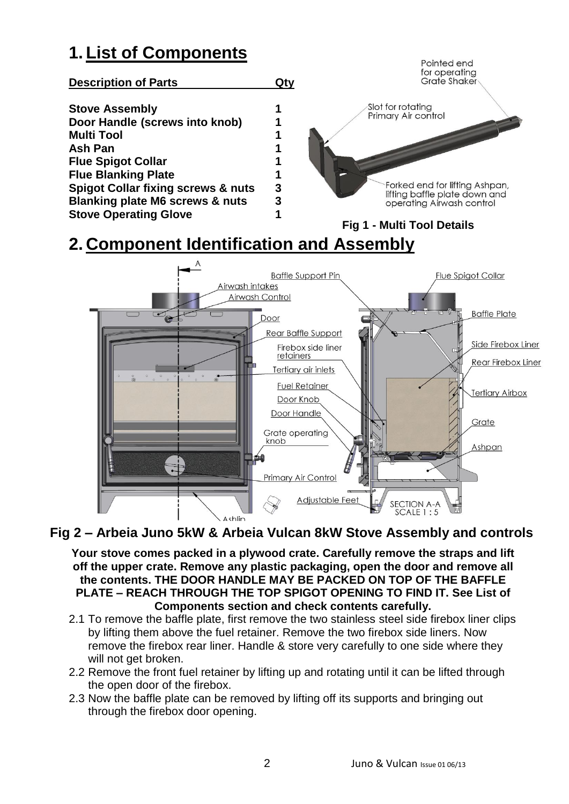### **1. List of Components**



## **2. Component Identification and Assembly**



**Fig 2 – Arbeia Juno 5kW & Arbeia Vulcan 8kW Stove Assembly and controls**

**Your stove comes packed in a plywood crate. Carefully remove the straps and lift off the upper crate. Remove any plastic packaging, open the door and remove all the contents. THE DOOR HANDLE MAY BE PACKED ON TOP OF THE BAFFLE PLATE – REACH THROUGH THE TOP SPIGOT OPENING TO FIND IT. See List of Components section and check contents carefully.**

- 2.1 To remove the baffle plate, first remove the two stainless steel side firebox liner clips by lifting them above the fuel retainer. Remove the two firebox side liners. Now remove the firebox rear liner. Handle & store very carefully to one side where they will not get broken.
- 2.2 Remove the front fuel retainer by lifting up and rotating until it can be lifted through the open door of the firebox.
- 2.3 Now the baffle plate can be removed by lifting off its supports and bringing out through the firebox door opening.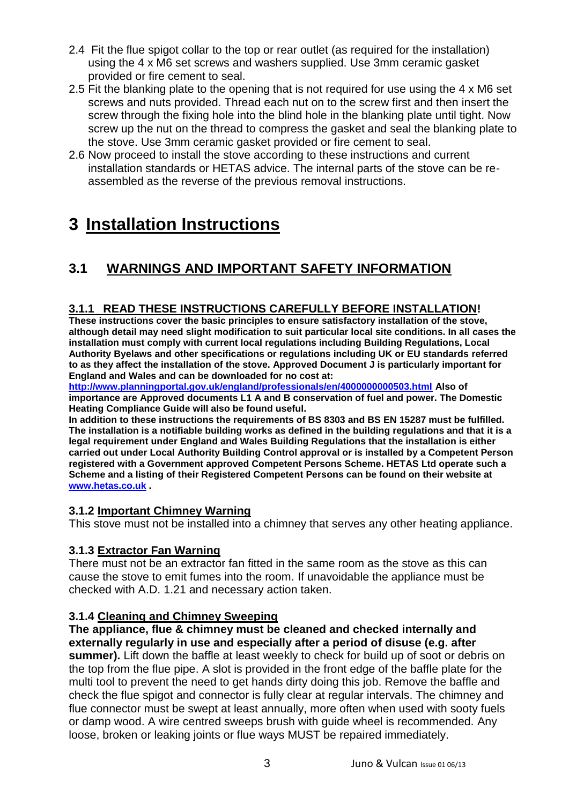- 2.4 Fit the flue spigot collar to the top or rear outlet (as required for the installation) using the 4 x M6 set screws and washers supplied. Use 3mm ceramic gasket provided or fire cement to seal.
- 2.5 Fit the blanking plate to the opening that is not required for use using the 4 x M6 set screws and nuts provided. Thread each nut on to the screw first and then insert the screw through the fixing hole into the blind hole in the blanking plate until tight. Now screw up the nut on the thread to compress the gasket and seal the blanking plate to the stove. Use 3mm ceramic gasket provided or fire cement to seal.
- 2.6 Now proceed to install the stove according to these instructions and current installation standards or HETAS advice. The internal parts of the stove can be reassembled as the reverse of the previous removal instructions.

### **3 Installation Instructions**

### **3.1 WARNINGS AND IMPORTANT SAFETY INFORMATION**

#### **3.1.1 READ THESE INSTRUCTIONS CAREFULLY BEFORE INSTALLATION!**

**These instructions cover the basic principles to ensure satisfactory installation of the stove, although detail may need slight modification to suit particular local site conditions. In all cases the installation must comply with current local regulations including Building Regulations, Local Authority Byelaws and other specifications or regulations including UK or EU standards referred to as they affect the installation of the stove. Approved Document J is particularly important for England and Wales and can be downloaded for no cost at:** 

**<http://www.planningportal.gov.uk/england/professionals/en/4000000000503.html> Also of importance are Approved documents L1 A and B conservation of fuel and power. The Domestic Heating Compliance Guide will also be found useful.**

**In addition to these instructions the requirements of BS 8303 and BS EN 15287 must be fulfilled. The installation is a notifiable building works as defined in the building regulations and that it is a legal requirement under England and Wales Building Regulations that the installation is either carried out under Local Authority Building Control approval or is installed by a Competent Person registered with a Government approved Competent Persons Scheme. HETAS Ltd operate such a Scheme and a listing of their Registered Competent Persons can be found on their website at [www.hetas.co.uk](http://www.hetas.co.uk/) .**

#### **3.1.2 Important Chimney Warning**

This stove must not be installed into a chimney that serves any other heating appliance.

#### **3.1.3 Extractor Fan Warning**

There must not be an extractor fan fitted in the same room as the stove as this can cause the stove to emit fumes into the room. If unavoidable the appliance must be checked with A.D. 1.21 and necessary action taken.

#### **3.1.4 Cleaning and Chimney Sweeping**

**The appliance, flue & chimney must be cleaned and checked internally and externally regularly in use and especially after a period of disuse (e.g. after summer).** Lift down the baffle at least weekly to check for build up of soot or debris on the top from the flue pipe. A slot is provided in the front edge of the baffle plate for the multi tool to prevent the need to get hands dirty doing this job. Remove the baffle and check the flue spigot and connector is fully clear at regular intervals. The chimney and flue connector must be swept at least annually, more often when used with sooty fuels or damp wood. A wire centred sweeps brush with guide wheel is recommended. Any loose, broken or leaking joints or flue ways MUST be repaired immediately.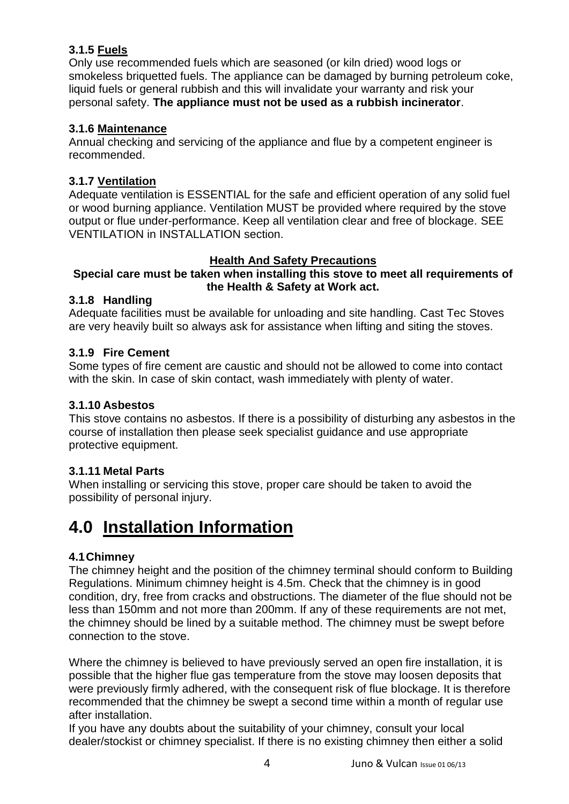#### **3.1.5 Fuels**

Only use recommended fuels which are seasoned (or kiln dried) wood logs or smokeless briquetted fuels. The appliance can be damaged by burning petroleum coke, liquid fuels or general rubbish and this will invalidate your warranty and risk your personal safety. **The appliance must not be used as a rubbish incinerator**.

#### **3.1.6 Maintenance**

Annual checking and servicing of the appliance and flue by a competent engineer is recommended.

#### **3.1.7 Ventilation**

Adequate ventilation is ESSENTIAL for the safe and efficient operation of any solid fuel or wood burning appliance. Ventilation MUST be provided where required by the stove output or flue under-performance. Keep all ventilation clear and free of blockage. SEE VENTILATION in INSTALLATION section.

#### **Health And Safety Precautions**

#### **Special care must be taken when installing this stove to meet all requirements of the Health & Safety at Work act.**

#### **3.1.8 Handling**

Adequate facilities must be available for unloading and site handling. Cast Tec Stoves are very heavily built so always ask for assistance when lifting and siting the stoves.

#### **3.1.9 Fire Cement**

Some types of fire cement are caustic and should not be allowed to come into contact with the skin. In case of skin contact, wash immediately with plenty of water.

#### **3.1.10 Asbestos**

This stove contains no asbestos. If there is a possibility of disturbing any asbestos in the course of installation then please seek specialist guidance and use appropriate protective equipment.

#### **3.1.11 Metal Parts**

When installing or servicing this stove, proper care should be taken to avoid the possibility of personal injury.

### **4.0 Installation Information**

#### **4.1Chimney**

The chimney height and the position of the chimney terminal should conform to Building Regulations. Minimum chimney height is 4.5m. Check that the chimney is in good condition, dry, free from cracks and obstructions. The diameter of the flue should not be less than 150mm and not more than 200mm. If any of these requirements are not met, the chimney should be lined by a suitable method. The chimney must be swept before connection to the stove.

Where the chimney is believed to have previously served an open fire installation, it is possible that the higher flue gas temperature from the stove may loosen deposits that were previously firmly adhered, with the consequent risk of flue blockage. It is therefore recommended that the chimney be swept a second time within a month of regular use after installation.

If you have any doubts about the suitability of your chimney, consult your local dealer/stockist or chimney specialist. If there is no existing chimney then either a solid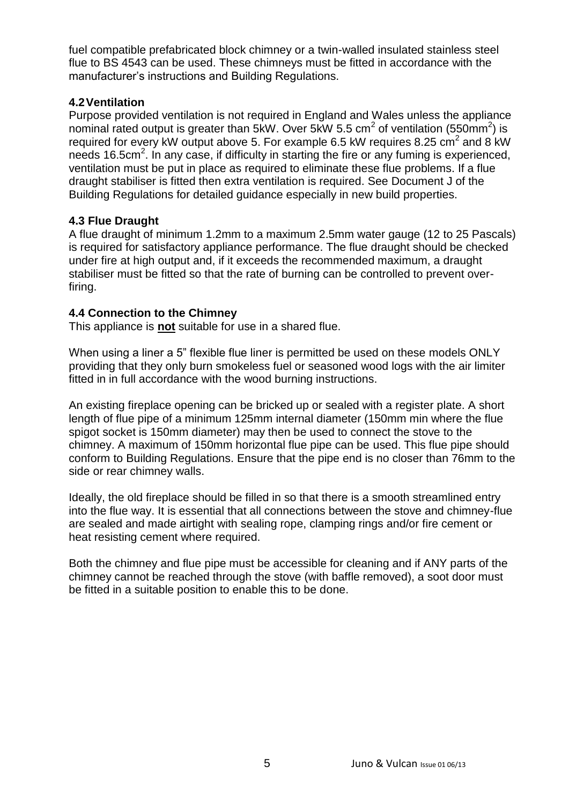fuel compatible prefabricated block chimney or a twin-walled insulated stainless steel flue to BS 4543 can be used. These chimneys must be fitted in accordance with the manufacturer's instructions and Building Regulations.

#### **4.2Ventilation**

Purpose provided ventilation is not required in England and Wales unless the appliance nominal rated output is greater than 5kW. Over 5kW 5.5 cm<sup>2</sup> of ventilation (550mm<sup>2</sup>) is required for every kW output above 5. For example 6.5 kW requires 8.25  $\text{cm}^2$  and 8 kW needs 16.5cm<sup>2</sup>. In any case, if difficulty in starting the fire or any fuming is experienced, ventilation must be put in place as required to eliminate these flue problems. If a flue draught stabiliser is fitted then extra ventilation is required. See Document J of the Building Regulations for detailed guidance especially in new build properties.

#### **4.3 Flue Draught**

A flue draught of minimum 1.2mm to a maximum 2.5mm water gauge (12 to 25 Pascals) is required for satisfactory appliance performance. The flue draught should be checked under fire at high output and, if it exceeds the recommended maximum, a draught stabiliser must be fitted so that the rate of burning can be controlled to prevent overfiring.

#### **4.4 Connection to the Chimney**

This appliance is **not** suitable for use in a shared flue.

When using a liner a 5" flexible flue liner is permitted be used on these models ONLY providing that they only burn smokeless fuel or seasoned wood logs with the air limiter fitted in in full accordance with the wood burning instructions.

An existing fireplace opening can be bricked up or sealed with a register plate. A short length of flue pipe of a minimum 125mm internal diameter (150mm min where the flue spigot socket is 150mm diameter) may then be used to connect the stove to the chimney. A maximum of 150mm horizontal flue pipe can be used. This flue pipe should conform to Building Regulations. Ensure that the pipe end is no closer than 76mm to the side or rear chimney walls.

Ideally, the old fireplace should be filled in so that there is a smooth streamlined entry into the flue way. It is essential that all connections between the stove and chimney-flue are sealed and made airtight with sealing rope, clamping rings and/or fire cement or heat resisting cement where required.

Both the chimney and flue pipe must be accessible for cleaning and if ANY parts of the chimney cannot be reached through the stove (with baffle removed), a soot door must be fitted in a suitable position to enable this to be done.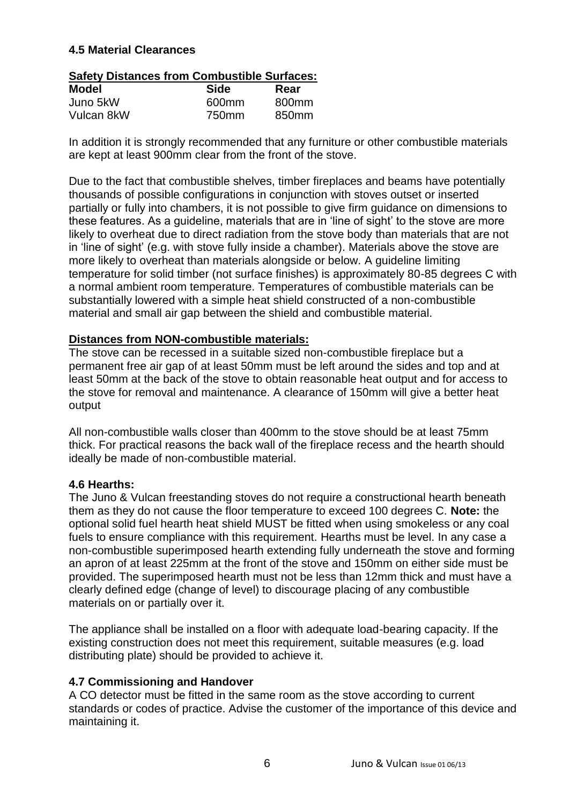#### **4.5 Material Clearances**

#### **Safety Distances from Combustible Surfaces:**

| <b>Model</b> | <b>Side</b>       | Rear              |  |
|--------------|-------------------|-------------------|--|
| Juno 5kW     | 600 <sub>mm</sub> | 800mm             |  |
| Vulcan 8kW   | 750mm             | 850 <sub>mm</sub> |  |

In addition it is strongly recommended that any furniture or other combustible materials are kept at least 900mm clear from the front of the stove.

Due to the fact that combustible shelves, timber fireplaces and beams have potentially thousands of possible configurations in conjunction with stoves outset or inserted partially or fully into chambers, it is not possible to give firm guidance on dimensions to these features. As a guideline, materials that are in 'line of sight' to the stove are more likely to overheat due to direct radiation from the stove body than materials that are not in 'line of sight' (e.g. with stove fully inside a chamber). Materials above the stove are more likely to overheat than materials alongside or below. A guideline limiting temperature for solid timber (not surface finishes) is approximately 80-85 degrees C with a normal ambient room temperature. Temperatures of combustible materials can be substantially lowered with a simple heat shield constructed of a non-combustible material and small air gap between the shield and combustible material.

#### **Distances from NON-combustible materials:**

The stove can be recessed in a suitable sized non-combustible fireplace but a permanent free air gap of at least 50mm must be left around the sides and top and at least 50mm at the back of the stove to obtain reasonable heat output and for access to the stove for removal and maintenance. A clearance of 150mm will give a better heat output

All non-combustible walls closer than 400mm to the stove should be at least 75mm thick. For practical reasons the back wall of the fireplace recess and the hearth should ideally be made of non-combustible material.

#### **4.6 Hearths:**

The Juno & Vulcan freestanding stoves do not require a constructional hearth beneath them as they do not cause the floor temperature to exceed 100 degrees C. **Note:** the optional solid fuel hearth heat shield MUST be fitted when using smokeless or any coal fuels to ensure compliance with this requirement. Hearths must be level. In any case a non-combustible superimposed hearth extending fully underneath the stove and forming an apron of at least 225mm at the front of the stove and 150mm on either side must be provided. The superimposed hearth must not be less than 12mm thick and must have a clearly defined edge (change of level) to discourage placing of any combustible materials on or partially over it.

The appliance shall be installed on a floor with adequate load-bearing capacity. If the existing construction does not meet this requirement, suitable measures (e.g. load distributing plate) should be provided to achieve it.

#### **4.7 Commissioning and Handover**

A CO detector must be fitted in the same room as the stove according to current standards or codes of practice. Advise the customer of the importance of this device and maintaining it.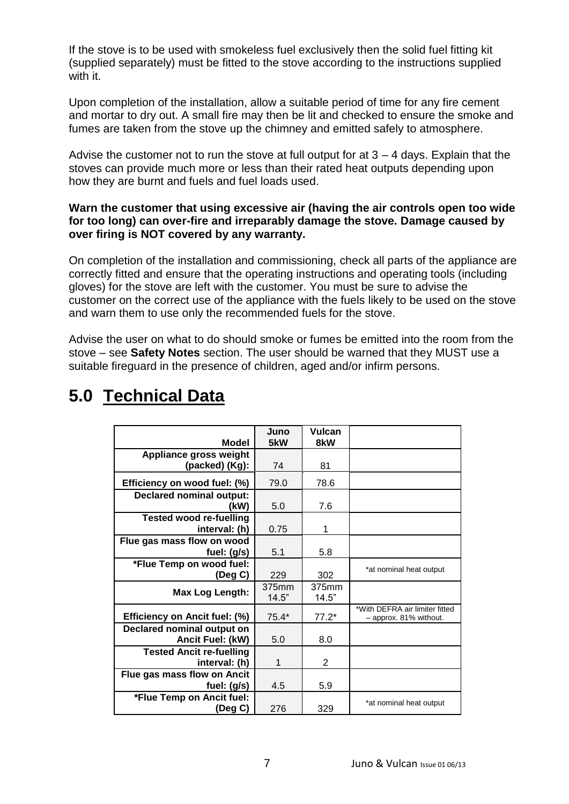If the stove is to be used with smokeless fuel exclusively then the solid fuel fitting kit (supplied separately) must be fitted to the stove according to the instructions supplied with it.

Upon completion of the installation, allow a suitable period of time for any fire cement and mortar to dry out. A small fire may then be lit and checked to ensure the smoke and fumes are taken from the stove up the chimney and emitted safely to atmosphere.

Advise the customer not to run the stove at full output for at  $3 - 4$  days. Explain that the stoves can provide much more or less than their rated heat outputs depending upon how they are burnt and fuels and fuel loads used.

#### **Warn the customer that using excessive air (having the air controls open too wide for too long) can over-fire and irreparably damage the stove. Damage caused by over firing is NOT covered by any warranty.**

On completion of the installation and commissioning, check all parts of the appliance are correctly fitted and ensure that the operating instructions and operating tools (including gloves) for the stove are left with the customer. You must be sure to advise the customer on the correct use of the appliance with the fuels likely to be used on the stove and warn them to use only the recommended fuels for the stove.

Advise the user on what to do should smoke or fumes be emitted into the room from the stove – see **Safety Notes** section. The user should be warned that they MUST use a suitable fireguard in the presence of children, aged and/or infirm persons.

|                                 | Juno    | Vulcan  |                                                          |
|---------------------------------|---------|---------|----------------------------------------------------------|
| <b>Model</b>                    | 5kW     | 8kW     |                                                          |
| Appliance gross weight          |         |         |                                                          |
| (packed) (Kg):                  | 74      | 81      |                                                          |
| Efficiency on wood fuel: (%)    | 79.0    | 78.6    |                                                          |
| <b>Declared nominal output:</b> |         |         |                                                          |
| (kW)                            | 5.0     | 7.6     |                                                          |
| <b>Tested wood re-fuelling</b>  |         |         |                                                          |
| interval: (h)                   | 0.75    | 1       |                                                          |
| Flue gas mass flow on wood      |         |         |                                                          |
| fuel: (g/s)                     | 5.1     | 5.8     |                                                          |
| *Flue Temp on wood fuel:        |         |         | *at nominal heat output                                  |
| (Deg C)                         | 229     | 302     |                                                          |
| Max Log Length:                 | 375mm   | 375mm   |                                                          |
|                                 | 14.5"   | 14.5"   |                                                          |
| Efficiency on Ancit fuel: (%)   | $75.4*$ | $77.2*$ | *With DEFRA air limiter fitted<br>- approx. 81% without. |
| Declared nominal output on      |         |         |                                                          |
| Ancit Fuel: (kW)                | 5.0     | 8.0     |                                                          |
| <b>Tested Ancit re-fuelling</b> |         |         |                                                          |
| interval: (h)                   |         | 2       |                                                          |
| Flue gas mass flow on Ancit     |         |         |                                                          |
| fuel: $(g/s)$                   | 4.5     | 5.9     |                                                          |
| *Flue Temp on Ancit fuel:       |         |         | *at nominal heat output                                  |
| (Deg C)                         | 276     | 329     |                                                          |

## **5.0 Technical Data**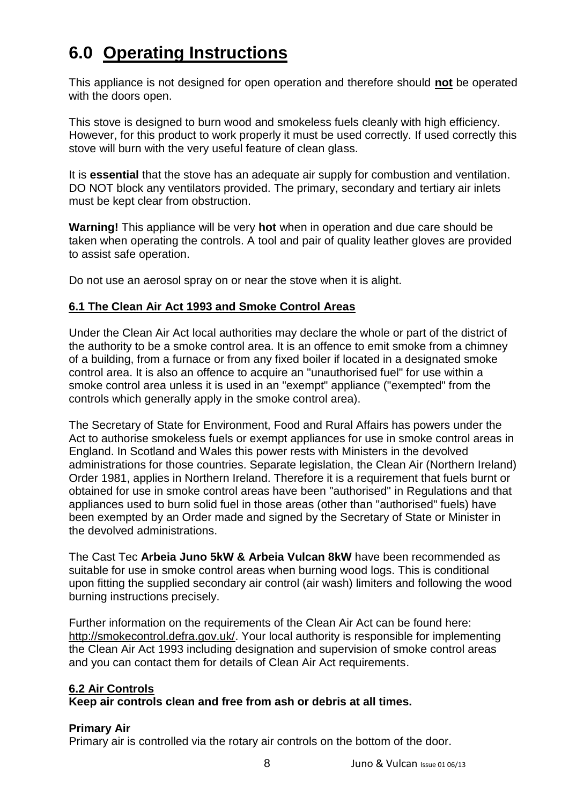## **6.0 Operating Instructions**

This appliance is not designed for open operation and therefore should **not** be operated with the doors open.

This stove is designed to burn wood and smokeless fuels cleanly with high efficiency. However, for this product to work properly it must be used correctly. If used correctly this stove will burn with the very useful feature of clean glass.

It is **essential** that the stove has an adequate air supply for combustion and ventilation. DO NOT block any ventilators provided. The primary, secondary and tertiary air inlets must be kept clear from obstruction.

**Warning!** This appliance will be very **hot** when in operation and due care should be taken when operating the controls. A tool and pair of quality leather gloves are provided to assist safe operation.

Do not use an aerosol spray on or near the stove when it is alight.

#### **6.1 The Clean Air Act 1993 and Smoke Control Areas**

Under the Clean Air Act local authorities may declare the whole or part of the district of the authority to be a smoke control area. It is an offence to emit smoke from a chimney of a building, from a furnace or from any fixed boiler if located in a designated smoke control area. It is also an offence to acquire an "unauthorised fuel" for use within a smoke control area unless it is used in an "exempt" appliance ("exempted" from the controls which generally apply in the smoke control area).

The Secretary of State for Environment, Food and Rural Affairs has powers under the Act to authorise smokeless fuels or exempt appliances for use in smoke control areas in England. In Scotland and Wales this power rests with Ministers in the devolved administrations for those countries. Separate legislation, the Clean Air (Northern Ireland) Order 1981, applies in Northern Ireland. Therefore it is a requirement that fuels burnt or obtained for use in smoke control areas have been "authorised" in Regulations and that appliances used to burn solid fuel in those areas (other than "authorised" fuels) have been exempted by an Order made and signed by the Secretary of State or Minister in the devolved administrations.

The Cast Tec **Arbeia Juno 5kW & Arbeia Vulcan 8kW** have been recommended as suitable for use in smoke control areas when burning wood logs. This is conditional upon fitting the supplied secondary air control (air wash) limiters and following the wood burning instructions precisely.

Further information on the requirements of the Clean Air Act can be found here: [http://smokecontrol.defra.gov.uk/.](http://smokecontrol.defra.gov.uk/) Your local authority is responsible for implementing the Clean Air Act 1993 including designation and supervision of smoke control areas and you can contact them for details of Clean Air Act requirements.

#### **6.2 Air Controls**

**Keep air controls clean and free from ash or debris at all times.**

#### **Primary Air**

Primary air is controlled via the rotary air controls on the bottom of the door.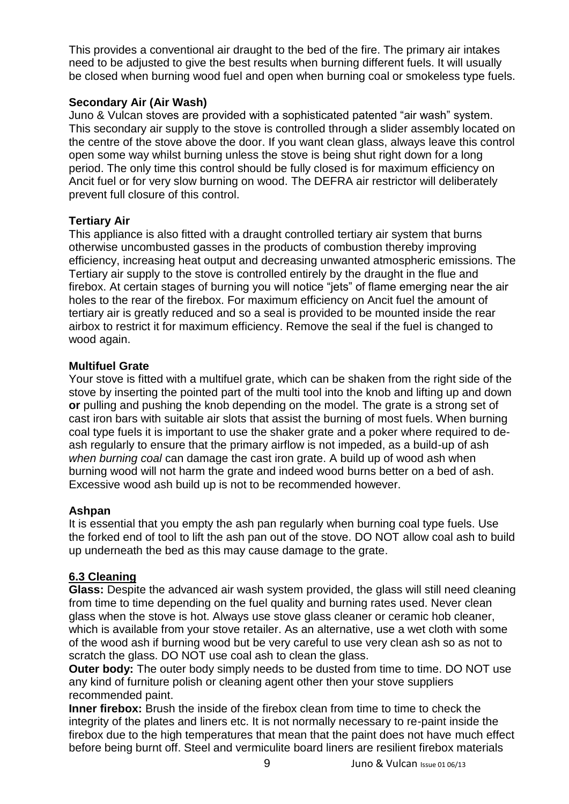This provides a conventional air draught to the bed of the fire. The primary air intakes need to be adjusted to give the best results when burning different fuels. It will usually be closed when burning wood fuel and open when burning coal or smokeless type fuels.

#### **Secondary Air (Air Wash)**

Juno & Vulcan stoves are provided with a sophisticated patented "air wash" system. This secondary air supply to the stove is controlled through a slider assembly located on the centre of the stove above the door. If you want clean glass, always leave this control open some way whilst burning unless the stove is being shut right down for a long period. The only time this control should be fully closed is for maximum efficiency on Ancit fuel or for very slow burning on wood. The DEFRA air restrictor will deliberately prevent full closure of this control.

#### **Tertiary Air**

This appliance is also fitted with a draught controlled tertiary air system that burns otherwise uncombusted gasses in the products of combustion thereby improving efficiency, increasing heat output and decreasing unwanted atmospheric emissions. The Tertiary air supply to the stove is controlled entirely by the draught in the flue and firebox. At certain stages of burning you will notice "jets" of flame emerging near the air holes to the rear of the firebox. For maximum efficiency on Ancit fuel the amount of tertiary air is greatly reduced and so a seal is provided to be mounted inside the rear airbox to restrict it for maximum efficiency. Remove the seal if the fuel is changed to wood again.

#### **Multifuel Grate**

Your stove is fitted with a multifuel grate, which can be shaken from the right side of the stove by inserting the pointed part of the multi tool into the knob and lifting up and down **or** pulling and pushing the knob depending on the model. The grate is a strong set of cast iron bars with suitable air slots that assist the burning of most fuels. When burning coal type fuels it is important to use the shaker grate and a poker where required to deash regularly to ensure that the primary airflow is not impeded, as a build-up of ash *when burning coal* can damage the cast iron grate. A build up of wood ash when burning wood will not harm the grate and indeed wood burns better on a bed of ash. Excessive wood ash build up is not to be recommended however.

#### **Ashpan**

It is essential that you empty the ash pan regularly when burning coal type fuels. Use the forked end of tool to lift the ash pan out of the stove. DO NOT allow coal ash to build up underneath the bed as this may cause damage to the grate.

#### **6.3 Cleaning**

**Glass:** Despite the advanced air wash system provided, the glass will still need cleaning from time to time depending on the fuel quality and burning rates used. Never clean glass when the stove is hot. Always use stove glass cleaner or ceramic hob cleaner, which is available from your stove retailer. As an alternative, use a wet cloth with some of the wood ash if burning wood but be very careful to use very clean ash so as not to scratch the glass. DO NOT use coal ash to clean the glass.

**Outer body:** The outer body simply needs to be dusted from time to time. DO NOT use any kind of furniture polish or cleaning agent other then your stove suppliers recommended paint.

**Inner firebox:** Brush the inside of the firebox clean from time to time to check the integrity of the plates and liners etc. It is not normally necessary to re-paint inside the firebox due to the high temperatures that mean that the paint does not have much effect before being burnt off. Steel and vermiculite board liners are resilient firebox materials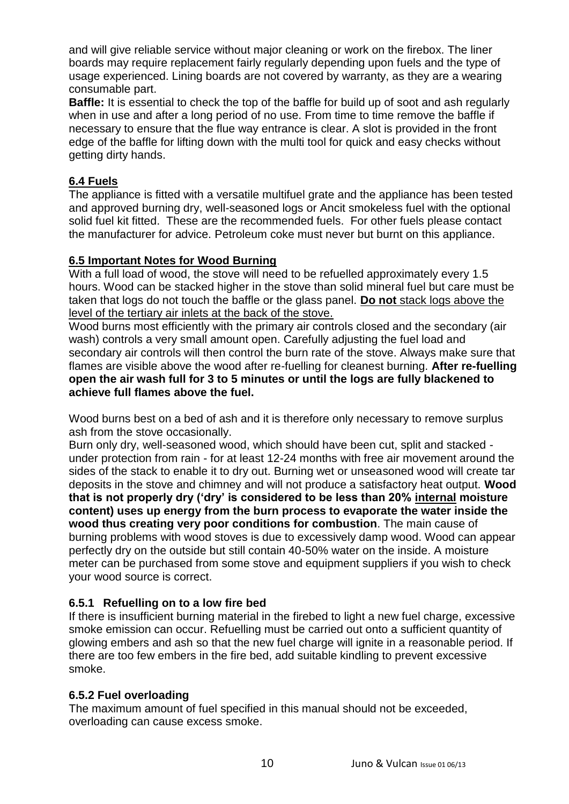and will give reliable service without major cleaning or work on the firebox. The liner boards may require replacement fairly regularly depending upon fuels and the type of usage experienced. Lining boards are not covered by warranty, as they are a wearing consumable part.

**Baffle:** It is essential to check the top of the baffle for build up of soot and ash regularly when in use and after a long period of no use. From time to time remove the baffle if necessary to ensure that the flue way entrance is clear. A slot is provided in the front edge of the baffle for lifting down with the multi tool for quick and easy checks without getting dirty hands.

#### **6.4 Fuels**

The appliance is fitted with a versatile multifuel grate and the appliance has been tested and approved burning dry, well-seasoned logs or Ancit smokeless fuel with the optional solid fuel kit fitted. These are the recommended fuels. For other fuels please contact the manufacturer for advice. Petroleum coke must never but burnt on this appliance.

#### **6.5 Important Notes for Wood Burning**

With a full load of wood, the stove will need to be refuelled approximately every 1.5 hours. Wood can be stacked higher in the stove than solid mineral fuel but care must be taken that logs do not touch the baffle or the glass panel. **Do not** stack logs above the level of the tertiary air inlets at the back of the stove.

Wood burns most efficiently with the primary air controls closed and the secondary (air wash) controls a very small amount open. Carefully adjusting the fuel load and secondary air controls will then control the burn rate of the stove. Always make sure that flames are visible above the wood after re-fuelling for cleanest burning. **After re-fuelling open the air wash full for 3 to 5 minutes or until the logs are fully blackened to achieve full flames above the fuel.**

Wood burns best on a bed of ash and it is therefore only necessary to remove surplus ash from the stove occasionally.

Burn only dry, well-seasoned wood, which should have been cut, split and stacked under protection from rain - for at least 12-24 months with free air movement around the sides of the stack to enable it to dry out. Burning wet or unseasoned wood will create tar deposits in the stove and chimney and will not produce a satisfactory heat output. **Wood that is not properly dry ('dry' is considered to be less than 20% internal moisture content) uses up energy from the burn process to evaporate the water inside the wood thus creating very poor conditions for combustion**. The main cause of burning problems with wood stoves is due to excessively damp wood. Wood can appear perfectly dry on the outside but still contain 40-50% water on the inside. A moisture meter can be purchased from some stove and equipment suppliers if you wish to check your wood source is correct.

#### **6.5.1 Refuelling on to a low fire bed**

If there is insufficient burning material in the firebed to light a new fuel charge, excessive smoke emission can occur. Refuelling must be carried out onto a sufficient quantity of glowing embers and ash so that the new fuel charge will ignite in a reasonable period. If there are too few embers in the fire bed, add suitable kindling to prevent excessive smoke.

#### **6.5.2 Fuel overloading**

The maximum amount of fuel specified in this manual should not be exceeded, overloading can cause excess smoke.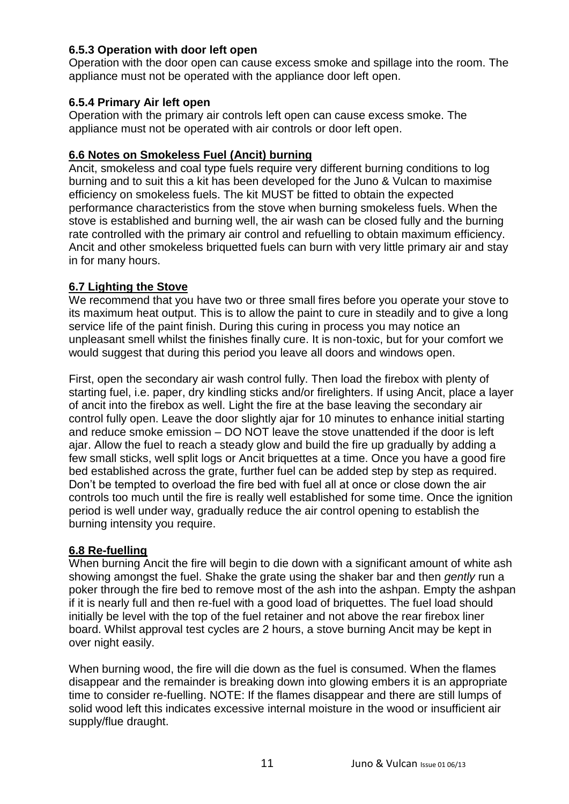#### **6.5.3 Operation with door left open**

Operation with the door open can cause excess smoke and spillage into the room. The appliance must not be operated with the appliance door left open.

#### **6.5.4 Primary Air left open**

Operation with the primary air controls left open can cause excess smoke. The appliance must not be operated with air controls or door left open.

#### **6.6 Notes on Smokeless Fuel (Ancit) burning**

Ancit, smokeless and coal type fuels require very different burning conditions to log burning and to suit this a kit has been developed for the Juno & Vulcan to maximise efficiency on smokeless fuels. The kit MUST be fitted to obtain the expected performance characteristics from the stove when burning smokeless fuels. When the stove is established and burning well, the air wash can be closed fully and the burning rate controlled with the primary air control and refuelling to obtain maximum efficiency. Ancit and other smokeless briquetted fuels can burn with very little primary air and stay in for many hours.

#### **6.7 Lighting the Stove**

We recommend that you have two or three small fires before you operate your stove to its maximum heat output. This is to allow the paint to cure in steadily and to give a long service life of the paint finish. During this curing in process you may notice an unpleasant smell whilst the finishes finally cure. It is non-toxic, but for your comfort we would suggest that during this period you leave all doors and windows open.

First, open the secondary air wash control fully. Then load the firebox with plenty of starting fuel, i.e. paper, dry kindling sticks and/or firelighters. If using Ancit, place a layer of ancit into the firebox as well. Light the fire at the base leaving the secondary air control fully open. Leave the door slightly ajar for 10 minutes to enhance initial starting and reduce smoke emission – DO NOT leave the stove unattended if the door is left ajar. Allow the fuel to reach a steady glow and build the fire up gradually by adding a few small sticks, well split logs or Ancit briquettes at a time. Once you have a good fire bed established across the grate, further fuel can be added step by step as required. Don't be tempted to overload the fire bed with fuel all at once or close down the air controls too much until the fire is really well established for some time. Once the ignition period is well under way, gradually reduce the air control opening to establish the burning intensity you require.

#### **6.8 Re-fuelling**

When burning Ancit the fire will begin to die down with a significant amount of white ash showing amongst the fuel. Shake the grate using the shaker bar and then *gently* run a poker through the fire bed to remove most of the ash into the ashpan. Empty the ashpan if it is nearly full and then re-fuel with a good load of briquettes. The fuel load should initially be level with the top of the fuel retainer and not above the rear firebox liner board. Whilst approval test cycles are 2 hours, a stove burning Ancit may be kept in over night easily.

When burning wood, the fire will die down as the fuel is consumed. When the flames disappear and the remainder is breaking down into glowing embers it is an appropriate time to consider re-fuelling. NOTE: If the flames disappear and there are still lumps of solid wood left this indicates excessive internal moisture in the wood or insufficient air supply/flue draught.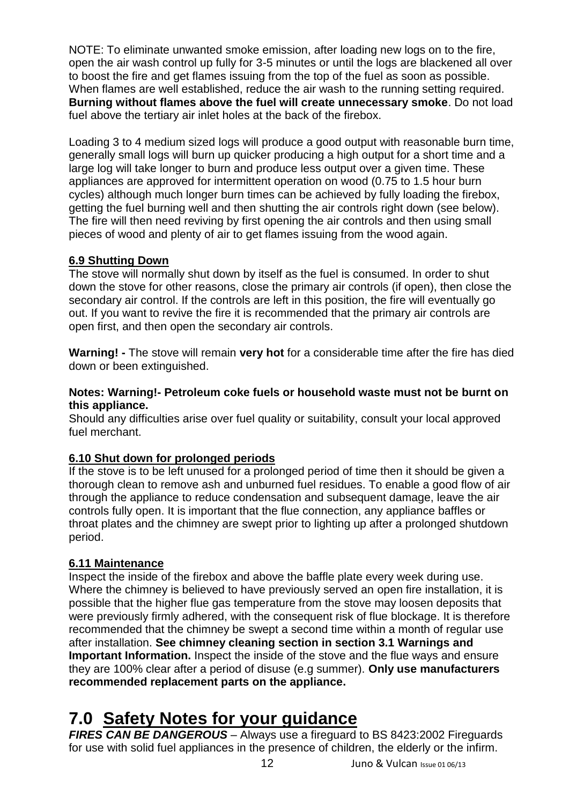NOTE: To eliminate unwanted smoke emission, after loading new logs on to the fire, open the air wash control up fully for 3-5 minutes or until the logs are blackened all over to boost the fire and get flames issuing from the top of the fuel as soon as possible. When flames are well established, reduce the air wash to the running setting required. **Burning without flames above the fuel will create unnecessary smoke**. Do not load fuel above the tertiary air inlet holes at the back of the firebox.

Loading 3 to 4 medium sized logs will produce a good output with reasonable burn time, generally small logs will burn up quicker producing a high output for a short time and a large log will take longer to burn and produce less output over a given time. These appliances are approved for intermittent operation on wood (0.75 to 1.5 hour burn cycles) although much longer burn times can be achieved by fully loading the firebox, getting the fuel burning well and then shutting the air controls right down (see below). The fire will then need reviving by first opening the air controls and then using small pieces of wood and plenty of air to get flames issuing from the wood again.

#### **6.9 Shutting Down**

The stove will normally shut down by itself as the fuel is consumed. In order to shut down the stove for other reasons, close the primary air controls (if open), then close the secondary air control. If the controls are left in this position, the fire will eventually go out. If you want to revive the fire it is recommended that the primary air controls are open first, and then open the secondary air controls.

**Warning! -** The stove will remain **very hot** for a considerable time after the fire has died down or been extinguished.

#### **Notes: Warning!- Petroleum coke fuels or household waste must not be burnt on this appliance.**

Should any difficulties arise over fuel quality or suitability, consult your local approved fuel merchant.

#### **6.10 Shut down for prolonged periods**

If the stove is to be left unused for a prolonged period of time then it should be given a thorough clean to remove ash and unburned fuel residues. To enable a good flow of air through the appliance to reduce condensation and subsequent damage, leave the air controls fully open. It is important that the flue connection, any appliance baffles or throat plates and the chimney are swept prior to lighting up after a prolonged shutdown period.

#### **6.11 Maintenance**

Inspect the inside of the firebox and above the baffle plate every week during use. Where the chimney is believed to have previously served an open fire installation, it is possible that the higher flue gas temperature from the stove may loosen deposits that were previously firmly adhered, with the consequent risk of flue blockage. It is therefore recommended that the chimney be swept a second time within a month of regular use after installation. **See chimney cleaning section in section 3.1 Warnings and Important Information.** Inspect the inside of the stove and the flue ways and ensure they are 100% clear after a period of disuse (e.g summer). **Only use manufacturers recommended replacement parts on the appliance.**

### **7.0 Safety Notes for your guidance**

*FIRES CAN BE DANGEROUS* – Always use a fireguard to BS 8423:2002 Fireguards for use with solid fuel appliances in the presence of children, the elderly or the infirm.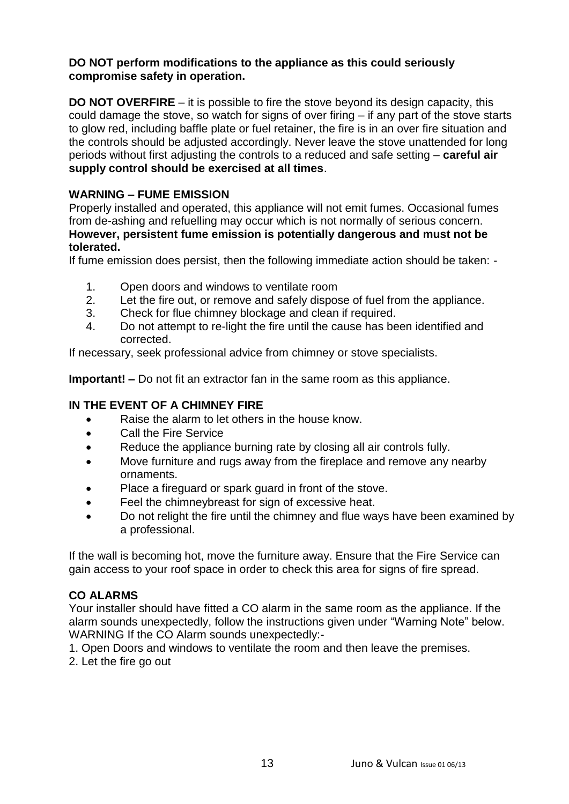#### **DO NOT perform modifications to the appliance as this could seriously compromise safety in operation.**

**DO NOT OVERFIRE** – it is possible to fire the stove beyond its design capacity, this could damage the stove, so watch for signs of over firing – if any part of the stove starts to glow red, including baffle plate or fuel retainer, the fire is in an over fire situation and the controls should be adjusted accordingly. Never leave the stove unattended for long periods without first adjusting the controls to a reduced and safe setting – **careful air supply control should be exercised at all times**.

#### **WARNING – FUME EMISSION**

Properly installed and operated, this appliance will not emit fumes. Occasional fumes from de-ashing and refuelling may occur which is not normally of serious concern. **However, persistent fume emission is potentially dangerous and must not be tolerated.**

If fume emission does persist, then the following immediate action should be taken: -

- 1. Open doors and windows to ventilate room
- 2. Let the fire out, or remove and safely dispose of fuel from the appliance.
- 3. Check for flue chimney blockage and clean if required.
- 4. Do not attempt to re-light the fire until the cause has been identified and corrected.

If necessary, seek professional advice from chimney or stove specialists.

**Important! –** Do not fit an extractor fan in the same room as this appliance.

#### **IN THE EVENT OF A CHIMNEY FIRE**

- Raise the alarm to let others in the house know.
- Call the Fire Service
- Reduce the appliance burning rate by closing all air controls fully.
- Move furniture and rugs away from the fireplace and remove any nearby ornaments.
- Place a fireguard or spark guard in front of the stove.
- Feel the chimneybreast for sign of excessive heat.
- Do not relight the fire until the chimney and flue ways have been examined by a professional.

If the wall is becoming hot, move the furniture away. Ensure that the Fire Service can gain access to your roof space in order to check this area for signs of fire spread.

#### **CO ALARMS**

Your installer should have fitted a CO alarm in the same room as the appliance. If the alarm sounds unexpectedly, follow the instructions given under "Warning Note" below. WARNING If the CO Alarm sounds unexpectedly:-

1. Open Doors and windows to ventilate the room and then leave the premises.

2. Let the fire go out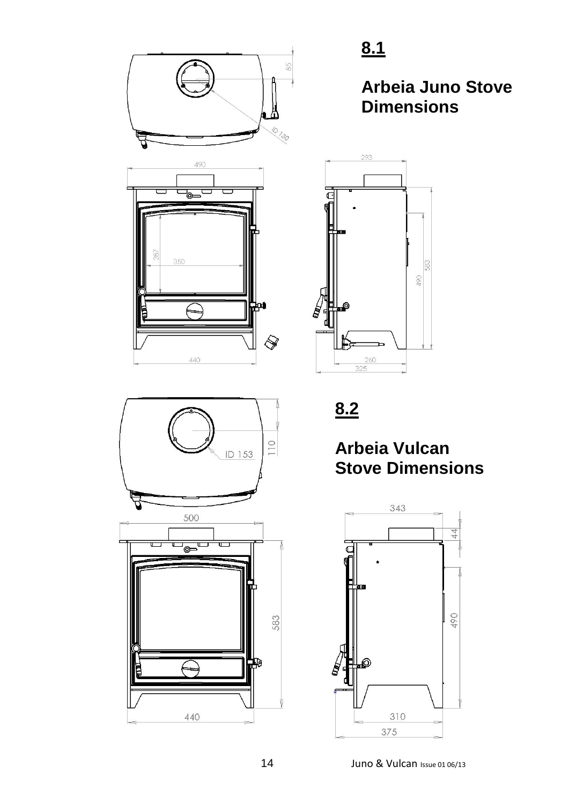



**8.1**

### **Arbeia Juno Stove Dimensions**



**8.2**

### **Arbeia Vulcan Stove Dimensions**